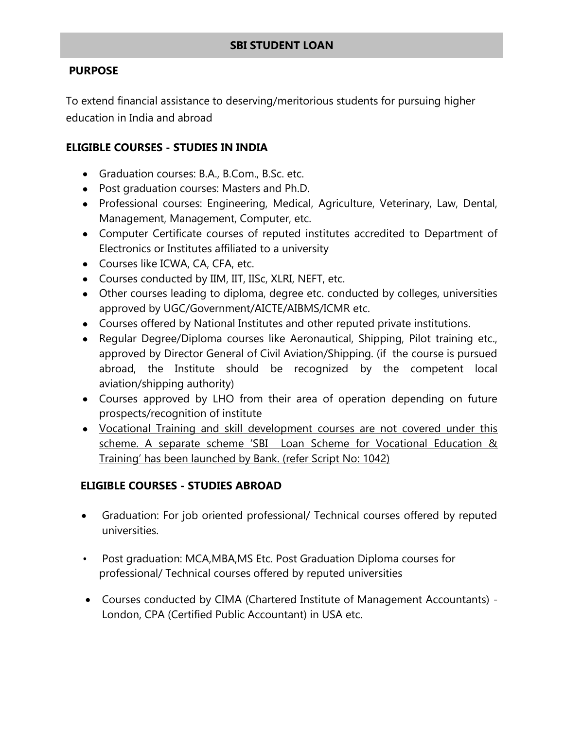# **SBI STUDENT LOAN**

### **PURPOSE**

To extend financial assistance to deserving/meritorious students for pursuing higher education in India and abroad

### **ELIGIBLE COURSES - STUDIES IN INDIA**

- Graduation courses: B.A., B.Com., B.Sc. etc.
- Post graduation courses: Masters and Ph.D.
- Professional courses: Engineering, Medical, Agriculture, Veterinary, Law, Dental, Management, Management, Computer, etc.
- Computer Certificate courses of reputed institutes accredited to Department of Electronics or Institutes affiliated to a university
- Courses like ICWA, CA, CFA, etc.
- Courses conducted by IIM, IIT, IISc, XLRI, NEFT, etc.
- Other courses leading to diploma, degree etc. conducted by colleges, universities approved by UGC/Government/AICTE/AIBMS/ICMR etc.
- Courses offered by National Institutes and other reputed private institutions.
- Regular Degree/Diploma courses like Aeronautical, Shipping, Pilot training etc., approved by Director General of Civil Aviation/Shipping. (if the course is pursued abroad, the Institute should be recognized by the competent local aviation/shipping authority)
- Courses approved by LHO from their area of operation depending on future prospects/recognition of institute
- Vocational Training and skill development courses are not covered under this scheme. A separate scheme 'SBI Loan Scheme for Vocational Education & Training' has been launched by Bank. (refer Script No: 1042)

## **ELIGIBLE COURSES - STUDIES ABROAD**

- Graduation: For job oriented professional/ Technical courses offered by reputed universities.
- Post graduation: MCA,MBA,MS Etc. Post Graduation Diploma courses for professional/ Technical courses offered by reputed universities
- Courses conducted by CIMA (Chartered Institute of Management Accountants) London, CPA (Certified Public Accountant) in USA etc.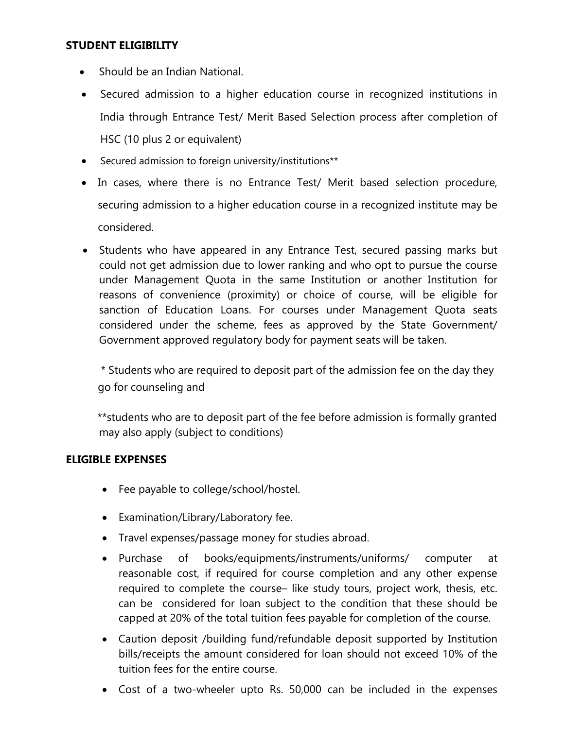#### **STUDENT ELIGIBILITY**

- Should be an Indian National.
- Secured admission to a higher education course in recognized institutions in India through Entrance Test/ Merit Based Selection process after completion of HSC (10 plus 2 or equivalent)
- Secured admission to foreign university/institutions\*\*
- In cases, where there is no Entrance Test/ Merit based selection procedure, securing admission to a higher education course in a recognized institute may be considered.
- Students who have appeared in any Entrance Test, secured passing marks but could not get admission due to lower ranking and who opt to pursue the course under Management Quota in the same Institution or another Institution for reasons of convenience (proximity) or choice of course, will be eligible for sanction of Education Loans. For courses under Management Quota seats considered under the scheme, fees as approved by the State Government/ Government approved regulatory body for payment seats will be taken.

\* Students who are required to deposit part of the admission fee on the day they go for counseling and

\*\*students who are to deposit part of the fee before admission is formally granted may also apply (subject to conditions)

## **ELIGIBLE EXPENSES**

- Fee payable to college/school/hostel.
- Examination/Library/Laboratory fee.
- Travel expenses/passage money for studies abroad.
- Purchase of books/equipments/instruments/uniforms/ computer at reasonable cost, if required for course completion and any other expense required to complete the course– like study tours, project work, thesis, etc. can be considered for loan subject to the condition that these should be capped at 20% of the total tuition fees payable for completion of the course.
- Caution deposit /building fund/refundable deposit supported by Institution bills/receipts the amount considered for loan should not exceed 10% of the tuition fees for the entire course.
- Cost of a two-wheeler upto Rs. 50,000 can be included in the expenses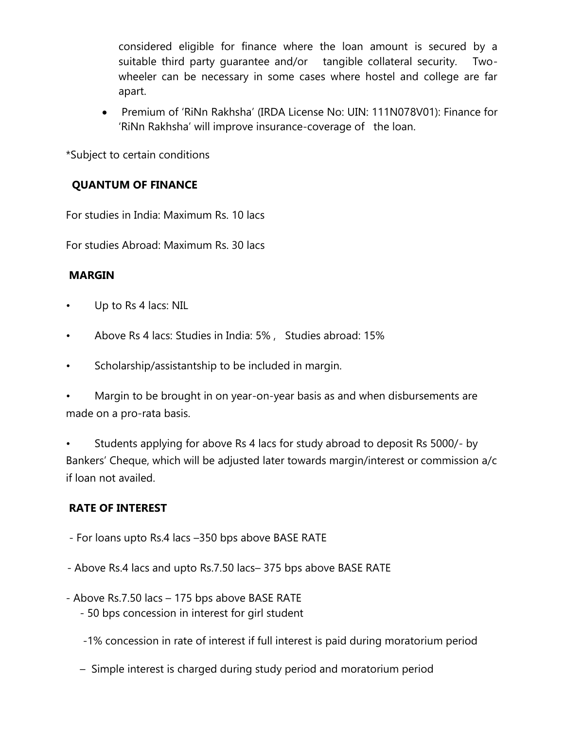considered eligible for finance where the loan amount is secured by a suitable third party guarantee and/or tangible collateral security. Twowheeler can be necessary in some cases where hostel and college are far apart.

 Premium of 'RiNn Rakhsha' (IRDA License No: UIN: 111N078V01): Finance for 'RiNn Rakhsha' will improve insurance-coverage of the loan.

\*Subject to certain conditions

# **QUANTUM OF FINANCE**

For studies in India: Maximum Rs. 10 lacs

For studies Abroad: Maximum Rs. 30 lacs

# **MARGIN**

- Up to Rs 4 lacs: NIL
- Above Rs 4 lacs: Studies in India: 5% , Studies abroad: 15%
- Scholarship/assistantship to be included in margin.

Margin to be brought in on year-on-year basis as and when disbursements are made on a pro-rata basis.

• Students applying for above Rs 4 lacs for study abroad to deposit Rs 5000/- by Bankers' Cheque, which will be adjusted later towards margin/interest or commission a/c if loan not availed.

# **RATE OF INTEREST**

- For loans upto Rs.4 lacs –350 bps above BASE RATE
- Above Rs.4 lacs and upto Rs.7.50 lacs– 375 bps above BASE RATE
- Above Rs.7.50 lacs 175 bps above BASE RATE
	- 50 bps concession in interest for girl student
	- -1% concession in rate of interest if full interest is paid during moratorium period
	- Simple interest is charged during study period and moratorium period